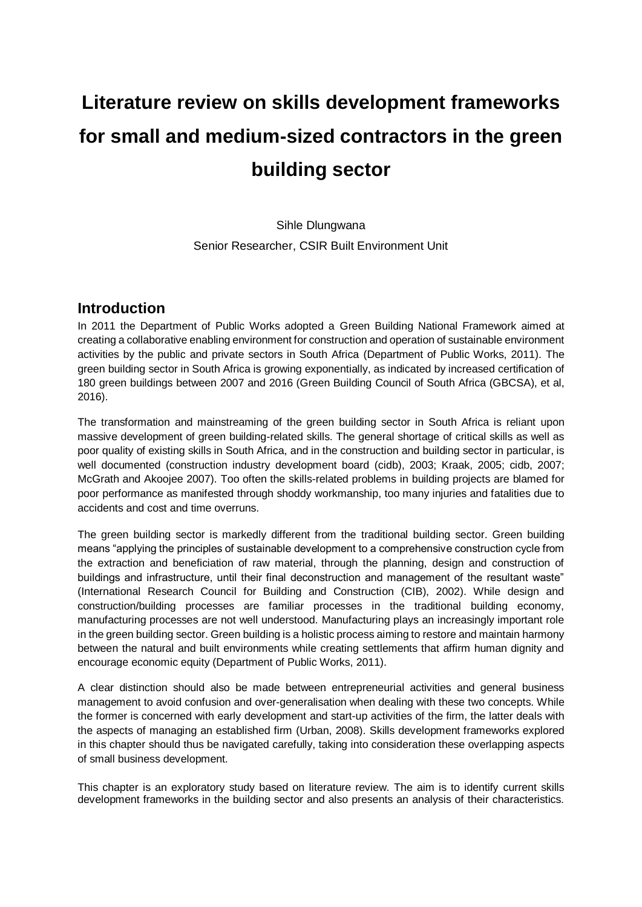# **Literature review on skills development frameworks for small and medium-sized contractors in the green building sector**

Sihle Dlungwana Senior Researcher, CSIR Built Environment Unit

## **Introduction**

In 2011 the Department of Public Works adopted a Green Building National Framework aimed at creating a collaborative enabling environment for construction and operation of sustainable environment activities by the public and private sectors in South Africa (Department of Public Works, 2011). The green building sector in South Africa is growing exponentially, as indicated by increased certification of 180 green buildings between 2007 and 2016 (Green Building Council of South Africa (GBCSA), et al, 2016).

The transformation and mainstreaming of the green building sector in South Africa is reliant upon massive development of green building-related skills. The general shortage of critical skills as well as poor quality of existing skills in South Africa, and in the construction and building sector in particular, is well documented (construction industry development board (cidb), 2003; Kraak, 2005; cidb, 2007; McGrath and Akoojee 2007). Too often the skills-related problems in building projects are blamed for poor performance as manifested through shoddy workmanship, too many injuries and fatalities due to accidents and cost and time overruns.

The green building sector is markedly different from the traditional building sector. Green building means "applying the principles of sustainable development to a comprehensive construction cycle from the extraction and beneficiation of raw material, through the planning, design and construction of buildings and infrastructure, until their final deconstruction and management of the resultant waste" (International Research Council for Building and Construction (CIB), 2002). While design and construction/building processes are familiar processes in the traditional building economy, manufacturing processes are not well understood. Manufacturing plays an increasingly important role in the green building sector. Green building is a holistic process aiming to restore and maintain harmony between the natural and built environments while creating settlements that affirm human dignity and encourage economic equity (Department of Public Works, 2011).

A clear distinction should also be made between entrepreneurial activities and general business management to avoid confusion and over-generalisation when dealing with these two concepts. While the former is concerned with early development and start-up activities of the firm, the latter deals with the aspects of managing an established firm (Urban, 2008). Skills development frameworks explored in this chapter should thus be navigated carefully, taking into consideration these overlapping aspects of small business development.

This chapter is an exploratory study based on literature review. The aim is to identify current skills development frameworks in the building sector and also presents an analysis of their characteristics.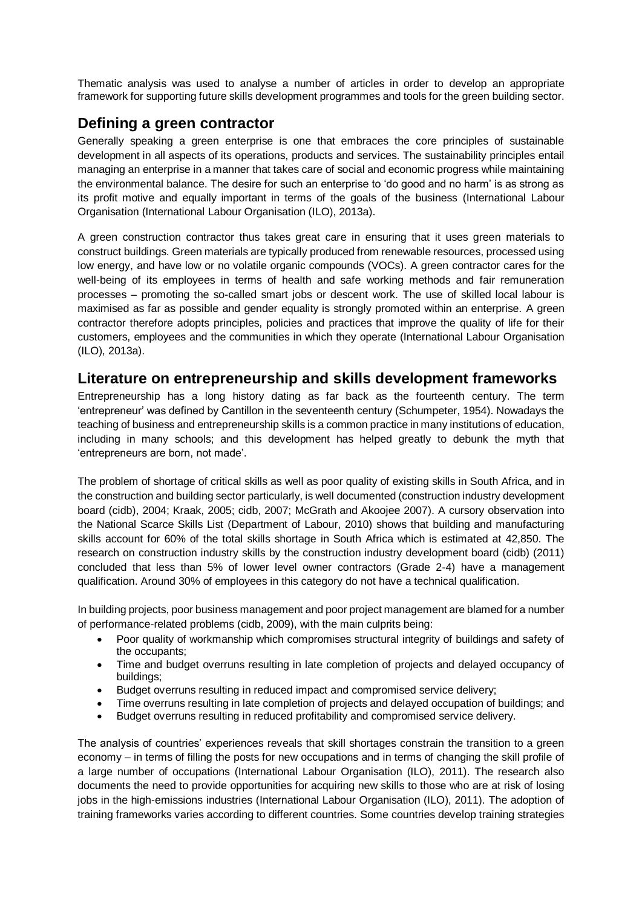Thematic analysis was used to analyse a number of articles in order to develop an appropriate framework for supporting future skills development programmes and tools for the green building sector.

# **Defining a green contractor**

Generally speaking a green enterprise is one that embraces the core principles of sustainable development in all aspects of its operations, products and services. The sustainability principles entail managing an enterprise in a manner that takes care of social and economic progress while maintaining the environmental balance. The desire for such an enterprise to 'do good and no harm' is as strong as its profit motive and equally important in terms of the goals of the business (International Labour Organisation (International Labour Organisation (ILO), 2013a).

A green construction contractor thus takes great care in ensuring that it uses green materials to construct buildings. Green materials are typically produced from renewable resources, processed using low energy, and have low or no volatile organic compounds (VOCs). A green contractor cares for the well-being of its employees in terms of health and safe working methods and fair remuneration processes – promoting the so-called smart jobs or descent work. The use of skilled local labour is maximised as far as possible and gender equality is strongly promoted within an enterprise. A green contractor therefore adopts principles, policies and practices that improve the quality of life for their customers, employees and the communities in which they operate (International Labour Organisation (ILO), 2013a).

## **Literature on entrepreneurship and skills development frameworks**

Entrepreneurship has a long history dating as far back as the fourteenth century. The term 'entrepreneur' was defined by Cantillon in the seventeenth century (Schumpeter, 1954). Nowadays the teaching of business and entrepreneurship skills is a common practice in many institutions of education, including in many schools; and this development has helped greatly to debunk the myth that 'entrepreneurs are born, not made'.

The problem of shortage of critical skills as well as poor quality of existing skills in South Africa, and in the construction and building sector particularly, is well documented (construction industry development board (cidb), 2004; Kraak, 2005; cidb, 2007; McGrath and Akoojee 2007). A cursory observation into the National Scarce Skills List (Department of Labour, 2010) shows that building and manufacturing skills account for 60% of the total skills shortage in South Africa which is estimated at 42,850. The research on construction industry skills by the construction industry development board (cidb) (2011) concluded that less than 5% of lower level owner contractors (Grade 2-4) have a management qualification. Around 30% of employees in this category do not have a technical qualification.

In building projects, poor business management and poor project management are blamed for a number of performance-related problems (cidb, 2009), with the main culprits being:

- Poor quality of workmanship which compromises structural integrity of buildings and safety of the occupants;
- Time and budget overruns resulting in late completion of projects and delayed occupancy of buildings;
- Budget overruns resulting in reduced impact and compromised service delivery;
- Time overruns resulting in late completion of projects and delayed occupation of buildings; and
- Budget overruns resulting in reduced profitability and compromised service delivery.

The analysis of countries' experiences reveals that skill shortages constrain the transition to a green economy – in terms of filling the posts for new occupations and in terms of changing the skill profile of a large number of occupations (International Labour Organisation (ILO), 2011). The research also documents the need to provide opportunities for acquiring new skills to those who are at risk of losing jobs in the high-emissions industries (International Labour Organisation (ILO), 2011). The adoption of training frameworks varies according to different countries. Some countries develop training strategies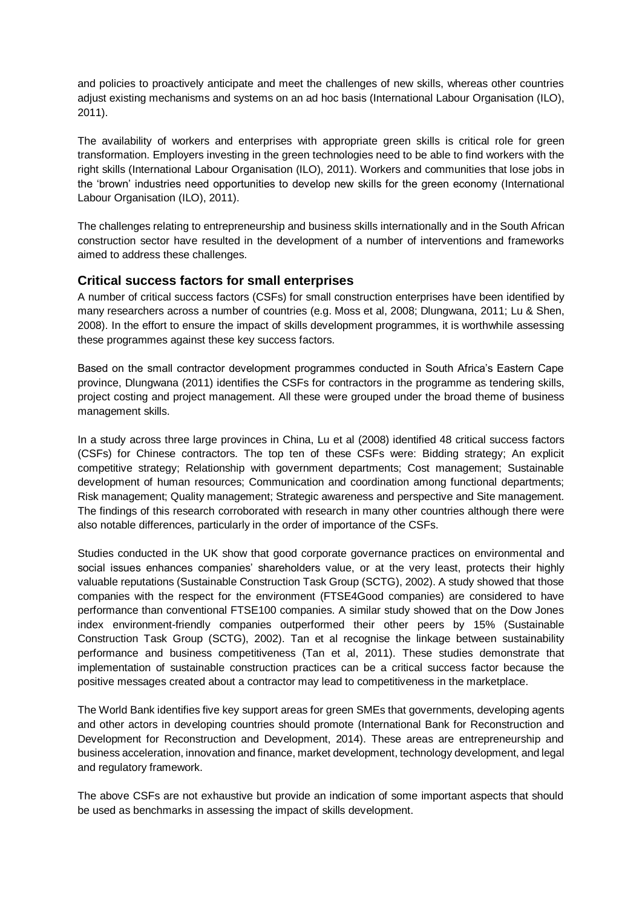and policies to proactively anticipate and meet the challenges of new skills, whereas other countries adjust existing mechanisms and systems on an ad hoc basis (International Labour Organisation (ILO), 2011).

The availability of workers and enterprises with appropriate green skills is critical role for green transformation. Employers investing in the green technologies need to be able to find workers with the right skills (International Labour Organisation (ILO), 2011). Workers and communities that lose jobs in the 'brown' industries need opportunities to develop new skills for the green economy (International Labour Organisation (ILO), 2011).

The challenges relating to entrepreneurship and business skills internationally and in the South African construction sector have resulted in the development of a number of interventions and frameworks aimed to address these challenges.

#### **Critical success factors for small enterprises**

A number of critical success factors (CSFs) for small construction enterprises have been identified by many researchers across a number of countries (e.g. Moss et al, 2008; Dlungwana, 2011; Lu & Shen, 2008). In the effort to ensure the impact of skills development programmes, it is worthwhile assessing these programmes against these key success factors.

Based on the small contractor development programmes conducted in South Africa's Eastern Cape province, Dlungwana (2011) identifies the CSFs for contractors in the programme as tendering skills, project costing and project management. All these were grouped under the broad theme of business management skills.

In a study across three large provinces in China, Lu et al (2008) identified 48 critical success factors (CSFs) for Chinese contractors. The top ten of these CSFs were: Bidding strategy; An explicit competitive strategy; Relationship with government departments; Cost management; Sustainable development of human resources; Communication and coordination among functional departments; Risk management; Quality management; Strategic awareness and perspective and Site management. The findings of this research corroborated with research in many other countries although there were also notable differences, particularly in the order of importance of the CSFs.

Studies conducted in the UK show that good corporate governance practices on environmental and social issues enhances companies' shareholders value, or at the very least, protects their highly valuable reputations (Sustainable Construction Task Group (SCTG), 2002). A study showed that those companies with the respect for the environment (FTSE4Good companies) are considered to have performance than conventional FTSE100 companies. A similar study showed that on the Dow Jones index environment-friendly companies outperformed their other peers by 15% (Sustainable Construction Task Group (SCTG), 2002). Tan et al recognise the linkage between sustainability performance and business competitiveness (Tan et al, 2011). These studies demonstrate that implementation of sustainable construction practices can be a critical success factor because the positive messages created about a contractor may lead to competitiveness in the marketplace.

The World Bank identifies five key support areas for green SMEs that governments, developing agents and other actors in developing countries should promote (International Bank for Reconstruction and Development for Reconstruction and Development, 2014). These areas are entrepreneurship and business acceleration, innovation and finance, market development, technology development, and legal and regulatory framework.

The above CSFs are not exhaustive but provide an indication of some important aspects that should be used as benchmarks in assessing the impact of skills development.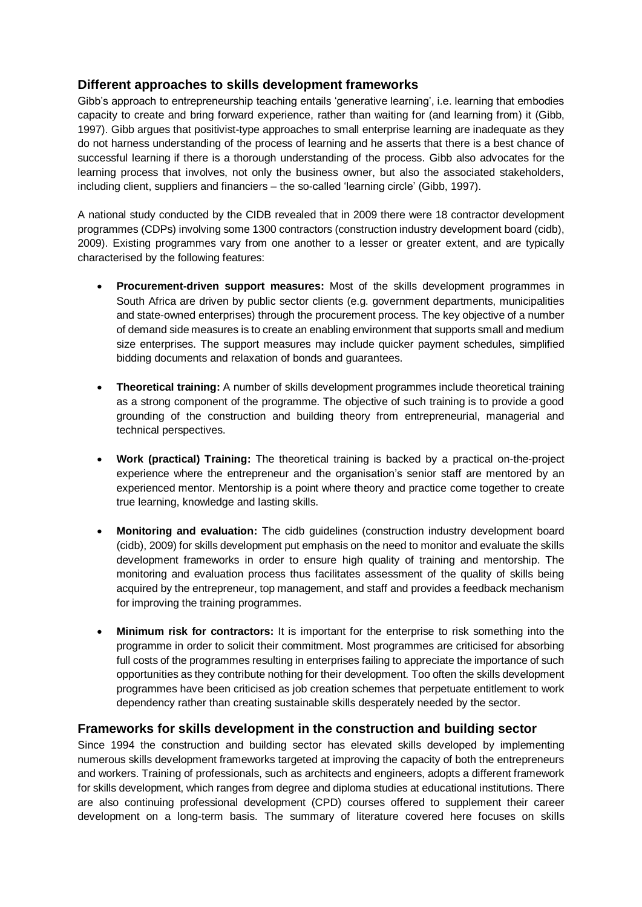#### **Different approaches to skills development frameworks**

Gibb's approach to entrepreneurship teaching entails 'generative learning', i.e. learning that embodies capacity to create and bring forward experience, rather than waiting for (and learning from) it (Gibb, 1997). Gibb argues that positivist-type approaches to small enterprise learning are inadequate as they do not harness understanding of the process of learning and he asserts that there is a best chance of successful learning if there is a thorough understanding of the process. Gibb also advocates for the learning process that involves, not only the business owner, but also the associated stakeholders, including client, suppliers and financiers – the so-called 'learning circle' (Gibb, 1997).

A national study conducted by the CIDB revealed that in 2009 there were 18 contractor development programmes (CDPs) involving some 1300 contractors (construction industry development board (cidb), 2009). Existing programmes vary from one another to a lesser or greater extent, and are typically characterised by the following features:

- **Procurement-driven support measures:** Most of the skills development programmes in South Africa are driven by public sector clients (e.g. government departments, municipalities and state-owned enterprises) through the procurement process. The key objective of a number of demand side measures is to create an enabling environment that supports small and medium size enterprises. The support measures may include quicker payment schedules, simplified bidding documents and relaxation of bonds and guarantees.
- **Theoretical training:** A number of skills development programmes include theoretical training as a strong component of the programme. The objective of such training is to provide a good grounding of the construction and building theory from entrepreneurial, managerial and technical perspectives.
- **Work (practical) Training:** The theoretical training is backed by a practical on-the-project experience where the entrepreneur and the organisation's senior staff are mentored by an experienced mentor. Mentorship is a point where theory and practice come together to create true learning, knowledge and lasting skills.
- **Monitoring and evaluation:** The cidb guidelines (construction industry development board (cidb), 2009) for skills development put emphasis on the need to monitor and evaluate the skills development frameworks in order to ensure high quality of training and mentorship. The monitoring and evaluation process thus facilitates assessment of the quality of skills being acquired by the entrepreneur, top management, and staff and provides a feedback mechanism for improving the training programmes.
- **Minimum risk for contractors:** It is important for the enterprise to risk something into the programme in order to solicit their commitment. Most programmes are criticised for absorbing full costs of the programmes resulting in enterprises failing to appreciate the importance of such opportunities as they contribute nothing for their development. Too often the skills development programmes have been criticised as job creation schemes that perpetuate entitlement to work dependency rather than creating sustainable skills desperately needed by the sector.

#### **Frameworks for skills development in the construction and building sector**

Since 1994 the construction and building sector has elevated skills developed by implementing numerous skills development frameworks targeted at improving the capacity of both the entrepreneurs and workers. Training of professionals, such as architects and engineers, adopts a different framework for skills development, which ranges from degree and diploma studies at educational institutions. There are also continuing professional development (CPD) courses offered to supplement their career development on a long-term basis. The summary of literature covered here focuses on skills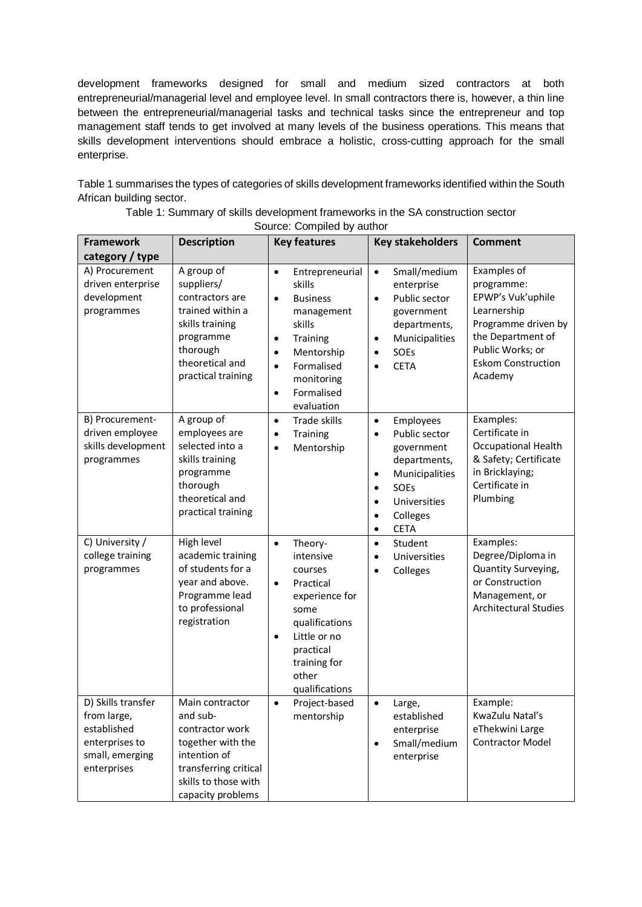development frameworks designed for small and medium sized contractors at both entrepreneurial/managerial level and employee level. In small contractors there is, however, a thin line between the entrepreneurial/managerial tasks and technical tasks since the entrepreneur and top management staff tends to get involved at many levels of the business operations. This means that skills development interventions should embrace a holistic, cross-cutting approach for the small enterprise.

Table 1 summarises the types of categories of skills development frameworks identified within the South African building sector.

| <b>Framework</b>                                                                                     | <b>Description</b>                                                                                                                                        | <b>Key features</b>                                                                                                                                                                                                                  | <b>Key stakeholders</b>                                                                                                                                                                                                         | <b>Comment</b>                                                                                                                                                        |
|------------------------------------------------------------------------------------------------------|-----------------------------------------------------------------------------------------------------------------------------------------------------------|--------------------------------------------------------------------------------------------------------------------------------------------------------------------------------------------------------------------------------------|---------------------------------------------------------------------------------------------------------------------------------------------------------------------------------------------------------------------------------|-----------------------------------------------------------------------------------------------------------------------------------------------------------------------|
| category / type                                                                                      |                                                                                                                                                           |                                                                                                                                                                                                                                      |                                                                                                                                                                                                                                 |                                                                                                                                                                       |
| A) Procurement<br>driven enterprise<br>development<br>programmes                                     | A group of<br>suppliers/<br>contractors are<br>trained within a<br>skills training<br>programme<br>thorough<br>theoretical and<br>practical training      | Entrepreneurial<br>$\bullet$<br>skills<br><b>Business</b><br>$\bullet$<br>management<br>skills<br>Training<br>$\bullet$<br>Mentorship<br>$\bullet$<br>Formalised<br>$\bullet$<br>monitoring<br>Formalised<br>$\bullet$<br>evaluation | Small/medium<br>$\bullet$<br>enterprise<br>Public sector<br>$\bullet$<br>government<br>departments,<br>Municipalities<br>$\bullet$<br><b>SOEs</b><br>$\bullet$<br><b>CETA</b><br>$\bullet$                                      | Examples of<br>programme:<br>EPWP's Vuk'uphile<br>Learnership<br>Programme driven by<br>the Department of<br>Public Works; or<br><b>Eskom Construction</b><br>Academy |
| B) Procurement-<br>driven employee<br>skills development<br>programmes                               | A group of<br>employees are<br>selected into a<br>skills training<br>programme<br>thorough<br>theoretical and<br>practical training                       | Trade skills<br>$\bullet$<br>Training<br>$\bullet$<br>Mentorship<br>$\bullet$                                                                                                                                                        | Employees<br>$\bullet$<br>Public sector<br>$\bullet$<br>government<br>departments,<br>Municipalities<br>$\bullet$<br><b>SOEs</b><br>$\bullet$<br>Universities<br>$\bullet$<br>Colleges<br>$\bullet$<br><b>CETA</b><br>$\bullet$ | Examples:<br>Certificate in<br>Occupational Health<br>& Safety; Certificate<br>in Bricklaying;<br>Certificate in<br>Plumbing                                          |
| C) University /<br>college training<br>programmes                                                    | High level<br>academic training<br>of students for a<br>year and above.<br>Programme lead<br>to professional<br>registration                              | Theory-<br>$\bullet$<br>intensive<br>courses<br>Practical<br>$\bullet$<br>experience for<br>some<br>qualifications<br>Little or no<br>$\bullet$<br>practical<br>training for<br>other<br>qualifications                              | Student<br>$\bullet$<br>Universities<br>$\bullet$<br>Colleges<br>$\bullet$                                                                                                                                                      | Examples:<br>Degree/Diploma in<br>Quantity Surveying,<br>or Construction<br>Management, or<br><b>Architectural Studies</b>                                            |
| D) Skills transfer<br>from large,<br>established<br>enterprises to<br>small, emerging<br>enterprises | Main contractor<br>and sub-<br>contractor work<br>together with the<br>intention of<br>transferring critical<br>skills to those with<br>capacity problems | Project-based<br>$\bullet$<br>mentorship                                                                                                                                                                                             | $\bullet$<br>Large,<br>established<br>enterprise<br>Small/medium<br>$\bullet$<br>enterprise                                                                                                                                     | Example:<br>KwaZulu Natal's<br>eThekwini Large<br><b>Contractor Model</b>                                                                                             |

Table 1: Summary of skills development frameworks in the SA construction sector

Source: Compiled by author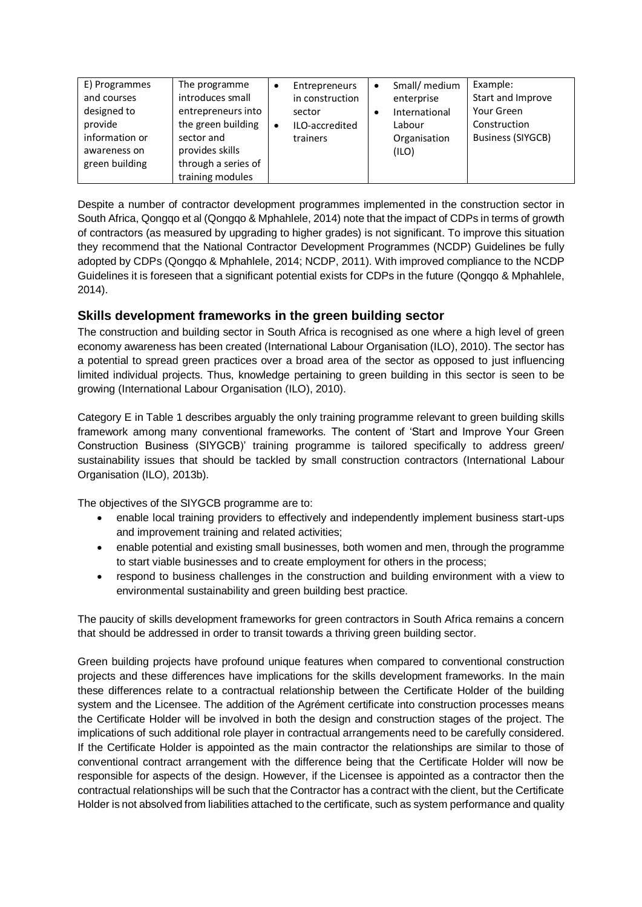| E) Programmes  | The programme       | Entrepreneurs   | $\bullet$ | Small/ medium | Example:                 |
|----------------|---------------------|-----------------|-----------|---------------|--------------------------|
| and courses    | introduces small    | in construction |           | enterprise    | Start and Improve        |
| designed to    | entrepreneurs into  | sector          |           | International | Your Green               |
| provide        | the green building  | ILO-accredited  |           | Labour        | Construction             |
| information or | sector and          | trainers        |           | Organisation  | <b>Business (SIYGCB)</b> |
| awareness on   | provides skills     |                 |           | (ILO)         |                          |
| green building | through a series of |                 |           |               |                          |
|                | training modules    |                 |           |               |                          |

Despite a number of contractor development programmes implemented in the construction sector in South Africa, Qongqo et al (Qongqo & Mphahlele, 2014) note that the impact of CDPs in terms of growth of contractors (as measured by upgrading to higher grades) is not significant. To improve this situation they recommend that the National Contractor Development Programmes (NCDP) Guidelines be fully adopted by CDPs (Qongqo & Mphahlele, 2014; NCDP, 2011). With improved compliance to the NCDP Guidelines it is foreseen that a significant potential exists for CDPs in the future (Qongqo & Mphahlele, 2014).

### **Skills development frameworks in the green building sector**

The construction and building sector in South Africa is recognised as one where a high level of green economy awareness has been created (International Labour Organisation (ILO), 2010). The sector has a potential to spread green practices over a broad area of the sector as opposed to just influencing limited individual projects. Thus, knowledge pertaining to green building in this sector is seen to be growing (International Labour Organisation (ILO), 2010).

Category E in Table 1 describes arguably the only training programme relevant to green building skills framework among many conventional frameworks. The content of 'Start and Improve Your Green Construction Business (SIYGCB)' training programme is tailored specifically to address green/ sustainability issues that should be tackled by small construction contractors (International Labour Organisation (ILO), 2013b).

The objectives of the SIYGCB programme are to:

- enable local training providers to effectively and independently implement business start-ups and improvement training and related activities;
- enable potential and existing small businesses, both women and men, through the programme to start viable businesses and to create employment for others in the process;
- respond to business challenges in the construction and building environment with a view to environmental sustainability and green building best practice.

The paucity of skills development frameworks for green contractors in South Africa remains a concern that should be addressed in order to transit towards a thriving green building sector.

Green building projects have profound unique features when compared to conventional construction projects and these differences have implications for the skills development frameworks. In the main these differences relate to a contractual relationship between the Certificate Holder of the building system and the Licensee. The addition of the Agrément certificate into construction processes means the Certificate Holder will be involved in both the design and construction stages of the project. The implications of such additional role player in contractual arrangements need to be carefully considered. If the Certificate Holder is appointed as the main contractor the relationships are similar to those of conventional contract arrangement with the difference being that the Certificate Holder will now be responsible for aspects of the design. However, if the Licensee is appointed as a contractor then the contractual relationships will be such that the Contractor has a contract with the client, but the Certificate Holder is not absolved from liabilities attached to the certificate, such as system performance and quality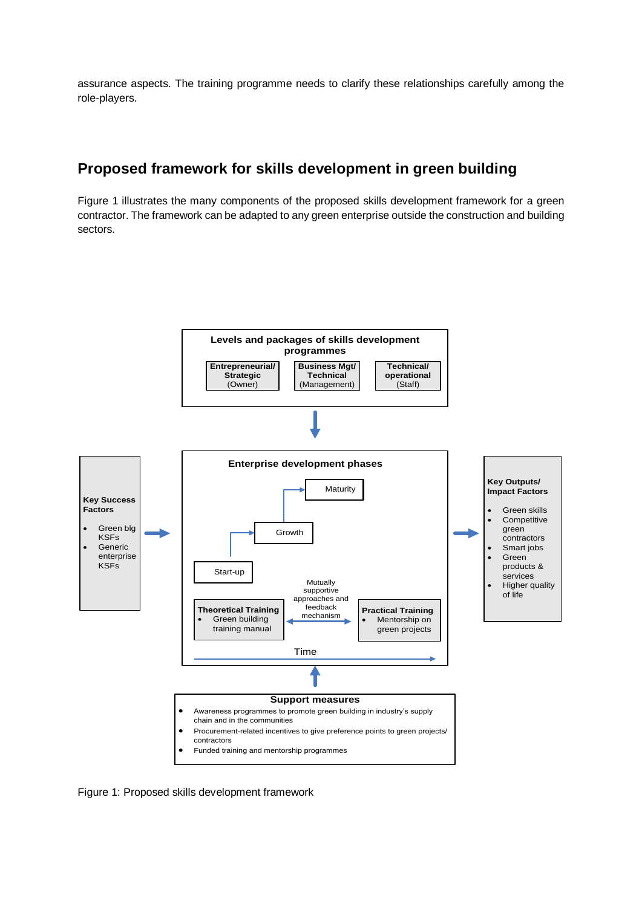assurance aspects. The training programme needs to clarify these relationships carefully among the role-players.

# **Proposed framework for skills development in green building**

Figure 1 illustrates the many components of the proposed skills development framework for a green contractor. The framework can be adapted to any green enterprise outside the construction and building sectors.



Figure 1: Proposed skills development framework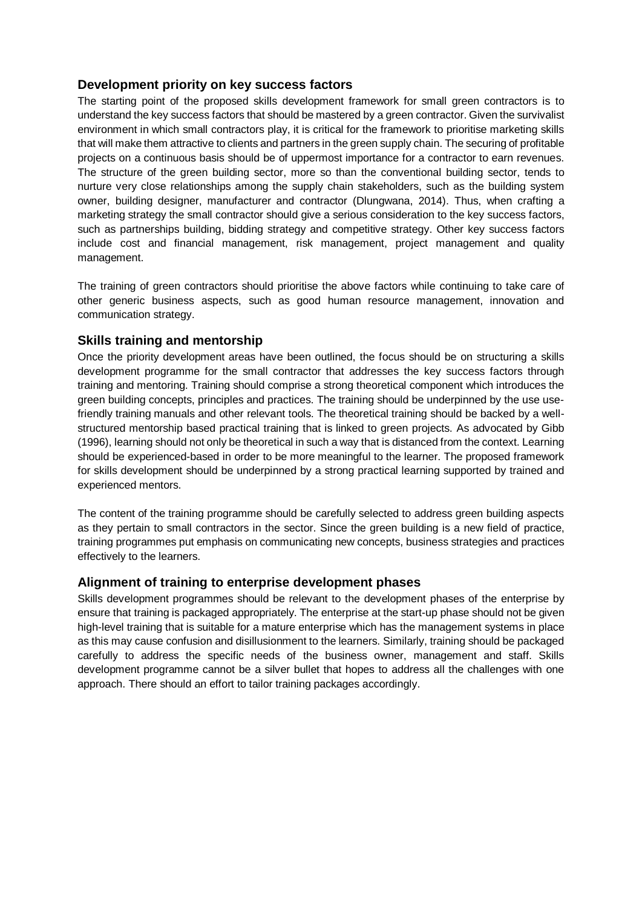#### **Development priority on key success factors**

The starting point of the proposed skills development framework for small green contractors is to understand the key success factors that should be mastered by a green contractor. Given the survivalist environment in which small contractors play, it is critical for the framework to prioritise marketing skills that will make them attractive to clients and partners in the green supply chain. The securing of profitable projects on a continuous basis should be of uppermost importance for a contractor to earn revenues. The structure of the green building sector, more so than the conventional building sector, tends to nurture very close relationships among the supply chain stakeholders, such as the building system owner, building designer, manufacturer and contractor (Dlungwana, 2014). Thus, when crafting a marketing strategy the small contractor should give a serious consideration to the key success factors, such as partnerships building, bidding strategy and competitive strategy. Other key success factors include cost and financial management, risk management, project management and quality management.

The training of green contractors should prioritise the above factors while continuing to take care of other generic business aspects, such as good human resource management, innovation and communication strategy.

#### **Skills training and mentorship**

Once the priority development areas have been outlined, the focus should be on structuring a skills development programme for the small contractor that addresses the key success factors through training and mentoring. Training should comprise a strong theoretical component which introduces the green building concepts, principles and practices. The training should be underpinned by the use usefriendly training manuals and other relevant tools. The theoretical training should be backed by a wellstructured mentorship based practical training that is linked to green projects. As advocated by Gibb (1996), learning should not only be theoretical in such a way that is distanced from the context. Learning should be experienced-based in order to be more meaningful to the learner. The proposed framework for skills development should be underpinned by a strong practical learning supported by trained and experienced mentors.

The content of the training programme should be carefully selected to address green building aspects as they pertain to small contractors in the sector. Since the green building is a new field of practice, training programmes put emphasis on communicating new concepts, business strategies and practices effectively to the learners.

#### **Alignment of training to enterprise development phases**

Skills development programmes should be relevant to the development phases of the enterprise by ensure that training is packaged appropriately. The enterprise at the start-up phase should not be given high-level training that is suitable for a mature enterprise which has the management systems in place as this may cause confusion and disillusionment to the learners. Similarly, training should be packaged carefully to address the specific needs of the business owner, management and staff. Skills development programme cannot be a silver bullet that hopes to address all the challenges with one approach. There should an effort to tailor training packages accordingly.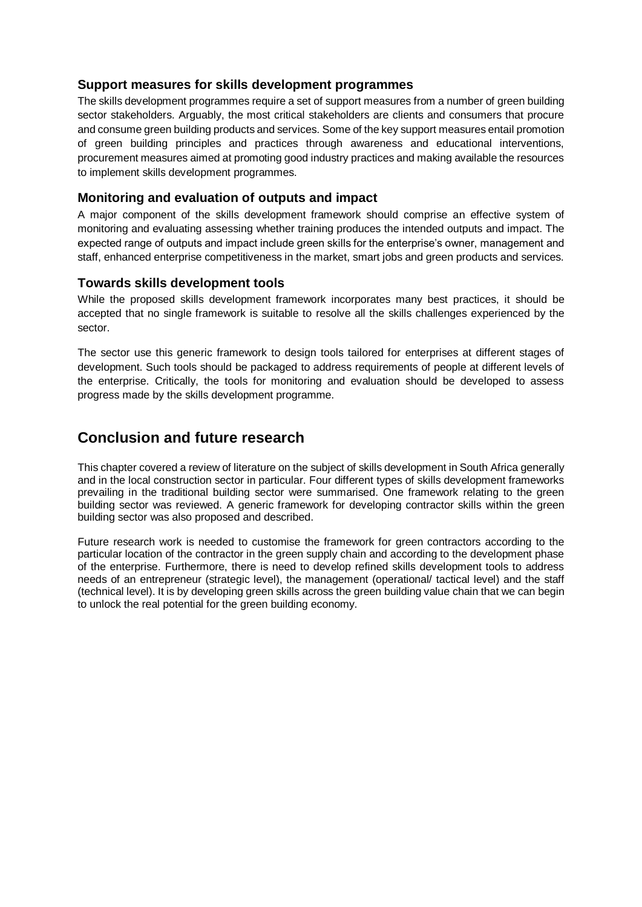#### **Support measures for skills development programmes**

The skills development programmes require a set of support measures from a number of green building sector stakeholders. Arguably, the most critical stakeholders are clients and consumers that procure and consume green building products and services. Some of the key support measures entail promotion of green building principles and practices through awareness and educational interventions, procurement measures aimed at promoting good industry practices and making available the resources to implement skills development programmes.

#### **Monitoring and evaluation of outputs and impact**

A major component of the skills development framework should comprise an effective system of monitoring and evaluating assessing whether training produces the intended outputs and impact. The expected range of outputs and impact include green skills for the enterprise's owner, management and staff, enhanced enterprise competitiveness in the market, smart jobs and green products and services.

#### **Towards skills development tools**

While the proposed skills development framework incorporates many best practices, it should be accepted that no single framework is suitable to resolve all the skills challenges experienced by the sector.

The sector use this generic framework to design tools tailored for enterprises at different stages of development. Such tools should be packaged to address requirements of people at different levels of the enterprise. Critically, the tools for monitoring and evaluation should be developed to assess progress made by the skills development programme.

# **Conclusion and future research**

This chapter covered a review of literature on the subject of skills development in South Africa generally and in the local construction sector in particular. Four different types of skills development frameworks prevailing in the traditional building sector were summarised. One framework relating to the green building sector was reviewed. A generic framework for developing contractor skills within the green building sector was also proposed and described.

Future research work is needed to customise the framework for green contractors according to the particular location of the contractor in the green supply chain and according to the development phase of the enterprise. Furthermore, there is need to develop refined skills development tools to address needs of an entrepreneur (strategic level), the management (operational/ tactical level) and the staff (technical level). It is by developing green skills across the green building value chain that we can begin to unlock the real potential for the green building economy.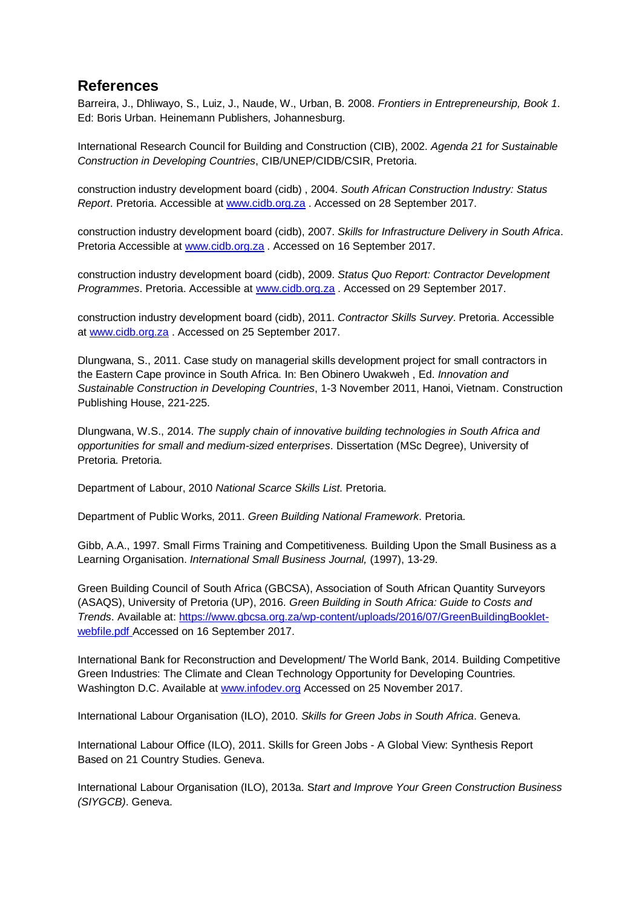## **References**

Barreira, J., Dhliwayo, S., Luiz, J., Naude, W., Urban, B. 2008. *Frontiers in Entrepreneurship, Book 1*. Ed: Boris Urban. Heinemann Publishers, Johannesburg.

International Research Council for Building and Construction (CIB), 2002. *Agenda 21 for Sustainable Construction in Developing Countries*, CIB/UNEP/CIDB/CSIR, Pretoria.

construction industry development board (cidb) , 2004. *South African Construction Industry: Status Report*. Pretoria. Accessible at [www.cidb.org.za](http://www.cidb.org.za/) . Accessed on 28 September 2017.

construction industry development board (cidb), 2007. *Skills for Infrastructure Delivery in South Africa*. Pretoria Accessible at [www.cidb.org.za](http://www.cidb.org.za/) . Accessed on 16 September 2017.

construction industry development board (cidb), 2009. *Status Quo Report: Contractor Development Programmes*. Pretoria. Accessible at [www.cidb.org.za](http://www.cidb.org.za/) . Accessed on 29 September 2017.

construction industry development board (cidb), 2011. *Contractor Skills Survey*. Pretoria. Accessible at [www.cidb.org.za](http://www.cidb.org.za/) . Accessed on 25 September 2017.

Dlungwana, S., 2011. Case study on managerial skills development project for small contractors in the Eastern Cape province in South Africa. In: Ben Obinero Uwakweh , Ed. *Innovation and Sustainable Construction in Developing Countries*, 1-3 November 2011, Hanoi, Vietnam. Construction Publishing House, 221-225.

Dlungwana, W.S., 2014. *The supply chain of innovative building technologies in South Africa and opportunities for small and medium-sized enterprises*. Dissertation (MSc Degree), University of Pretoria. Pretoria.

Department of Labour, 2010 *National Scarce Skills List*. Pretoria.

Department of Public Works, 2011. *Green Building National Framework*. Pretoria.

Gibb, A.A., 1997. Small Firms Training and Competitiveness. Building Upon the Small Business as a Learning Organisation. *International Small Business Journal,* (1997), 13-29.

Green Building Council of South Africa (GBCSA), Association of South African Quantity Surveyors (ASAQS), University of Pretoria (UP), 2016. *Green Building in South Africa: Guide to Costs and Trends*. Available at: [https://www.gbcsa.org.za/wp-content/uploads/2016/07/GreenBuildingBooklet](https://www.gbcsa.org.za/wp-content/uploads/2016/07/GreenBuildingBooklet-webfile.pdf)[webfile.pdf](https://www.gbcsa.org.za/wp-content/uploads/2016/07/GreenBuildingBooklet-webfile.pdf) Accessed on 16 September 2017.

International Bank for Reconstruction and Development/ The World Bank, 2014. Building Competitive Green Industries: The Climate and Clean Technology Opportunity for Developing Countries. Washington D.C. Available at [www.infodev.org](http://www.infodev.org/) Accessed on 25 November 2017.

International Labour Organisation (ILO), 2010. *Skills for Green Jobs in South Africa*. Geneva.

International Labour Office (ILO), 2011. Skills for Green Jobs - A Global View: Synthesis Report Based on 21 Country Studies. Geneva.

International Labour Organisation (ILO), 2013a. S*tart and Improve Your Green Construction Business (SIYGCB)*. Geneva.